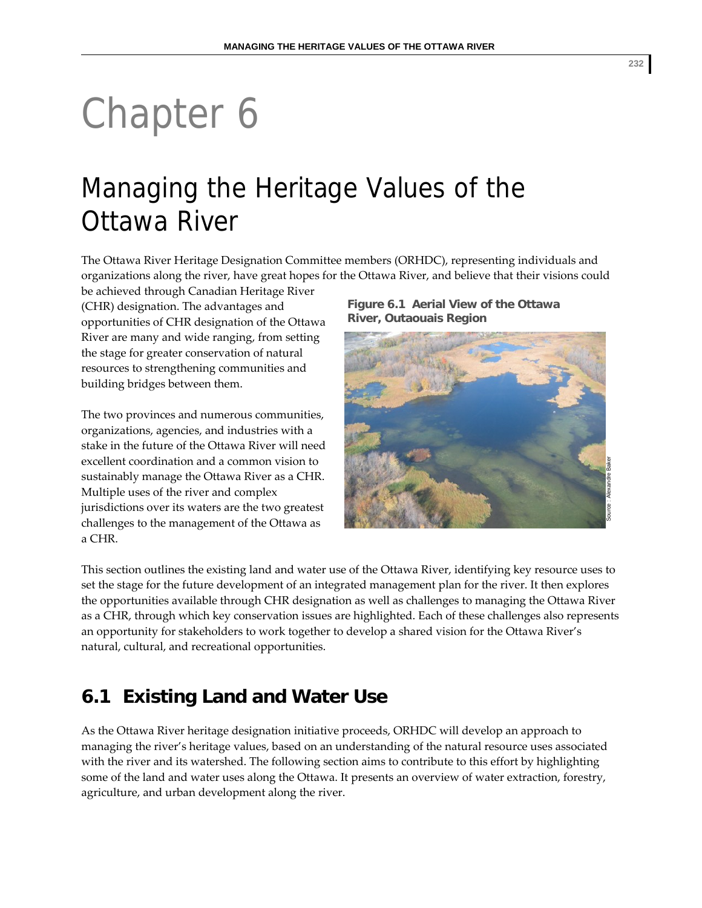# Chapter 6

# Managing the Heritage Values of the Ottawa River

The Ottawa River Heritage Designation Committee members (ORHDC), representing individuals and organizations along the river, have great hopes for the Ottawa River, and believe that their visions could

be achieved through Canadian Heritage River (CHR) designation. The advantages and opportunities of CHR designation of the Ottawa River are many and wide ranging, from setting the stage for greater conservation of natural resources to strengthening communities and building bridges between them.

The two provinces and numerous communities, organizations, agencies, and industries with a stake in the future of the Ottawa River will need excellent coordination and a common vision to sustainably manage the Ottawa River as a CHR. Multiple uses of the river and complex jurisdictions over its waters are the two greatest challenges to the management of the Ottawa as a CHR.

**Figure 6.1 Aerial View of the Ottawa River, Outaouais Region** 



This section outlines the existing land and water use of the Ottawa River, identifying key resource uses to set the stage for the future development of an integrated management plan for the river. It then explores the opportunities available through CHR designation as well as challenges to managing the Ottawa River as a CHR, through which key conservation issues are highlighted. Each of these challenges also represents an opportunity for stakeholders to work together to develop a shared vision for the Ottawa River's natural, cultural, and recreational opportunities.

# **6.1 Existing Land and Water Use**

As the Ottawa River heritage designation initiative proceeds, ORHDC will develop an approach to managing the river's heritage values, based on an understanding of the natural resource uses associated with the river and its watershed. The following section aims to contribute to this effort by highlighting some of the land and water uses along the Ottawa. It presents an overview of water extraction, forestry, agriculture, and urban development along the river.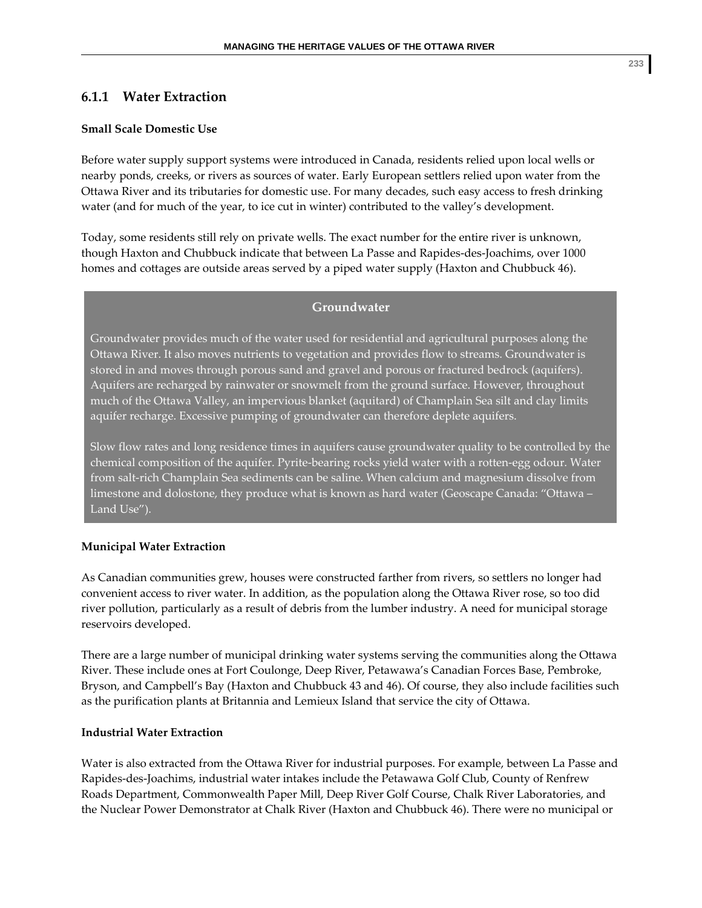# **6.1.1 Water Extraction**

#### **Small Scale Domestic Use**

Before water supply support systems were introduced in Canada, residents relied upon local wells or nearby ponds, creeks, or rivers as sources of water. Early European settlers relied upon water from the Ottawa River and its tributaries for domestic use. For many decades, such easy access to fresh drinking water (and for much of the year, to ice cut in winter) contributed to the valley's development.

Today, some residents still rely on private wells. The exact number for the entire river is unknown, though Haxton and Chubbuck indicate that between La Passe and Rapides‐des‐Joachims, over 1000 homes and cottages are outside areas served by a piped water supply (Haxton and Chubbuck 46).

#### **Groundwater**

Groundwater provides much of the water used for residential and agricultural purposes along the Ottawa River. It also moves nutrients to vegetation and provides flow to streams. Groundwater is stored in and moves through porous sand and gravel and porous or fractured bedrock (aquifers). Aquifers are recharged by rainwater or snowmelt from the ground surface. However, throughout much of the Ottawa Valley, an impervious blanket (aquitard) of Champlain Sea silt and clay limits aquifer recharge. Excessive pumping of groundwater can therefore deplete aquifers.

Slow flow rates and long residence times in aquifers cause groundwater quality to be controlled by the chemical composition of the aquifer. Pyrite‐bearing rocks yield water with a rotten‐egg odour. Water from salt‐rich Champlain Sea sediments can be saline. When calcium and magnesium dissolve from limestone and dolostone, they produce what is known as hard water (Geoscape Canada: "Ottawa – Land Use").

#### **Municipal Water Extraction**

As Canadian communities grew, houses were constructed farther from rivers, so settlers no longer had convenient access to river water. In addition, as the population along the Ottawa River rose, so too did river pollution, particularly as a result of debris from the lumber industry. A need for municipal storage reservoirs developed.

There are a large number of municipal drinking water systems serving the communities along the Ottawa River. These include ones at Fort Coulonge, Deep River, Petawawa's Canadian Forces Base, Pembroke, Bryson, and Campbell's Bay (Haxton and Chubbuck 43 and 46). Of course, they also include facilities such as the purification plants at Britannia and Lemieux Island that service the city of Ottawa.

#### **Industrial Water Extraction**

Water is also extracted from the Ottawa River for industrial purposes. For example, between La Passe and Rapides‐des‐Joachims, industrial water intakes include the Petawawa Golf Club, County of Renfrew Roads Department, Commonwealth Paper Mill, Deep River Golf Course, Chalk River Laboratories, and the Nuclear Power Demonstrator at Chalk River (Haxton and Chubbuck 46). There were no municipal or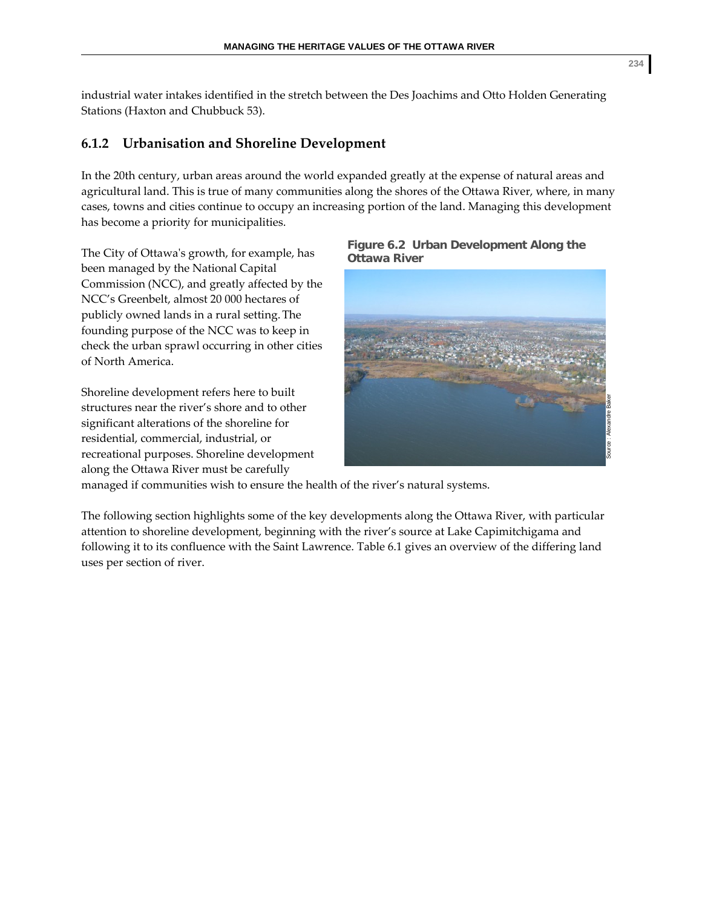industrial water intakes identified in the stretch between the Des Joachims and Otto Holden Generating Stations (Haxton and Chubbuck 53).

# **6.1.2 Urbanisation and Shoreline Development**

In the 20th century, urban areas around the world expanded greatly at the expense of natural areas and agricultural land. This is true of many communities along the shores of the Ottawa River, where, in many cases, towns and cities continue to occupy an increasing portion of the land. Managing this development has become a priority for municipalities.

The City of Ottawaʹs growth, for example, has been managed by the National Capital Commission (NCC), and greatly affected by the NCC's Greenbelt, almost 20 000 hectares of publicly owned lands in a rural setting.The founding purpose of the NCC was to keep in check the urban sprawl occurring in other cities of North America.

Shoreline development refers here to built structures near the river's shore and to other significant alterations of the shoreline for residential, commercial, industrial, or recreational purposes. Shoreline development along the Ottawa River must be carefully

**Figure 6.2 Urban Development Along the Ottawa River** 



managed if communities wish to ensure the health of the river's natural systems.

The following section highlights some of the key developments along the Ottawa River, with particular attention to shoreline development, beginning with the river's source at Lake Capimitchigama and following it to its confluence with the Saint Lawrence. Table 6.1 gives an overview of the differing land uses per section of river.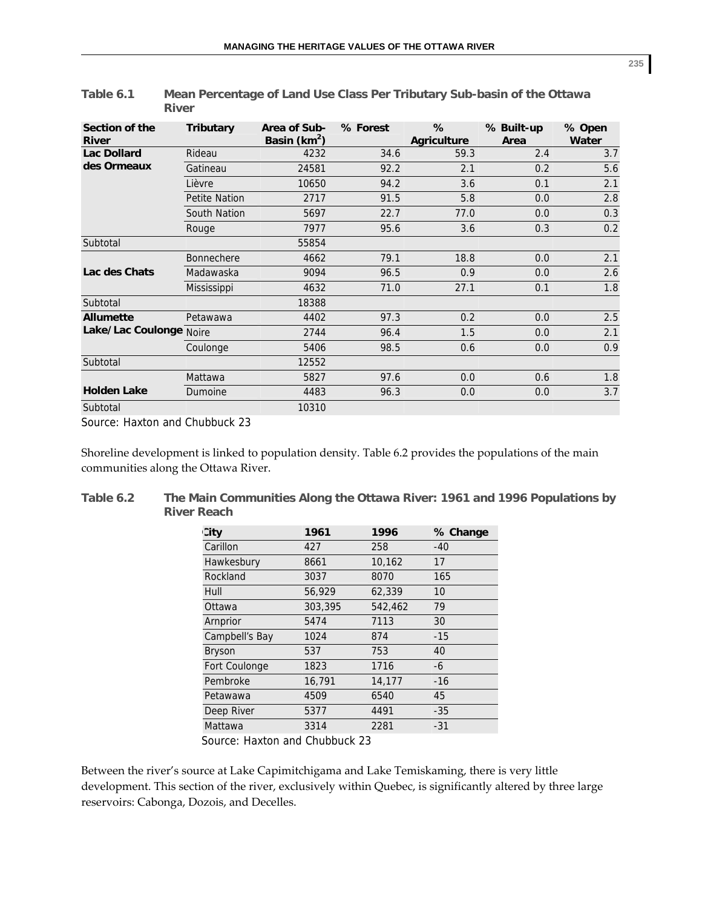| Section of the<br><b>River</b> | <b>Tributary</b>     | Area of Sub-<br>Basin ( $km^2$ ) | % Forest | %<br><b>Agriculture</b> | % Built-up<br>Area | % Open<br>Water |
|--------------------------------|----------------------|----------------------------------|----------|-------------------------|--------------------|-----------------|
| <b>Lac Dollard</b>             | Rideau               | 4232                             | 34.6     | 59.3                    | 2.4                | 3.7             |
| des Ormeaux                    | Gatineau             | 24581                            | 92.2     | 2.1                     | 0.2                | 5.6             |
|                                | Lièvre               | 10650                            | 94.2     | 3.6                     | 0.1                | 2.1             |
|                                | <b>Petite Nation</b> | 2717                             | 91.5     | 5.8                     | 0.0                | 2.8             |
|                                | South Nation         | 5697                             | 22.7     | 77.0                    | 0.0                | 0.3             |
|                                | Rouge                | 7977                             | 95.6     | 3.6                     | 0.3                | 0.2             |
| Subtotal                       |                      | 55854                            |          |                         |                    |                 |
|                                | <b>Bonnechere</b>    | 4662                             | 79.1     | 18.8                    | 0.0                | 2.1             |
| Lac des Chats                  | Madawaska            | 9094                             | 96.5     | 0.9                     | 0.0                | 2.6             |
|                                | <b>Mississippi</b>   | 4632                             | 71.0     | 27.1                    | 0.1                | 1.8             |
| Subtotal                       |                      | 18388                            |          |                         |                    |                 |
| <b>Allumette</b>               | Petawawa             | 4402                             | 97.3     | 0.2                     | 0.0                | 2.5             |
| Lake/Lac Coulonge Noire        |                      | 2744                             | 96.4     | 1.5                     | 0.0                | 2.1             |
|                                | Coulonge             | 5406                             | 98.5     | 0.6                     | 0.0                | 0.9             |
| Subtotal                       |                      | 12552                            |          |                         |                    |                 |
|                                | Mattawa              | 5827                             | 97.6     | 0.0                     | 0.6                | 1.8             |
| <b>Holden Lake</b>             | Dumoine              | 4483                             | 96.3     | 0.0                     | 0.0                | 3.7             |
| Subtotal                       |                      | 10310                            |          |                         |                    |                 |

| Table 6.1 | Mean Percentage of Land Use Class Per Tributary Sub-basin of the Ottawa |
|-----------|-------------------------------------------------------------------------|
|           | River                                                                   |

Source: Haxton and Chubbuck 23

Shoreline development is linked to population density. Table 6.2 provides the populations of the main communities along the Ottawa River.

| Table 6.2 | The Main Communities Along the Ottawa River: 1961 and 1996 Populations by |
|-----------|---------------------------------------------------------------------------|
|           | <b>River Reach</b>                                                        |

| <b>City</b>    | 1961    | 1996    | % Change |
|----------------|---------|---------|----------|
| Carillon       | 427     | 258     | $-40$    |
| Hawkesbury     | 8661    | 10,162  | 17       |
| Rockland       | 3037    | 8070    | 165      |
| Hull           | 56,929  | 62,339  | 10       |
| Ottawa         | 303,395 | 542,462 | 79       |
| Arnprior       | 5474    | 7113    | 30       |
| Campbell's Bay | 1024    | 874     | $-15$    |
| <b>Bryson</b>  | 537     | 753     | 40       |
| Fort Coulonge  | 1823    | 1716    | -6       |
| Pembroke       | 16,791  | 14,177  | $-16$    |
| Petawawa       | 4509    | 6540    | 45       |
| Deep River     | 5377    | 4491    | $-35$    |
| Mattawa        | 3314    | 2281    | $-31$    |
|                |         |         |          |

Source: Haxton and Chubbuck 23

Between the river's source at Lake Capimitchigama and Lake Temiskaming, there is very little development. This section of the river, exclusively within Quebec, is significantly altered by three large reservoirs: Cabonga, Dozois, and Decelles.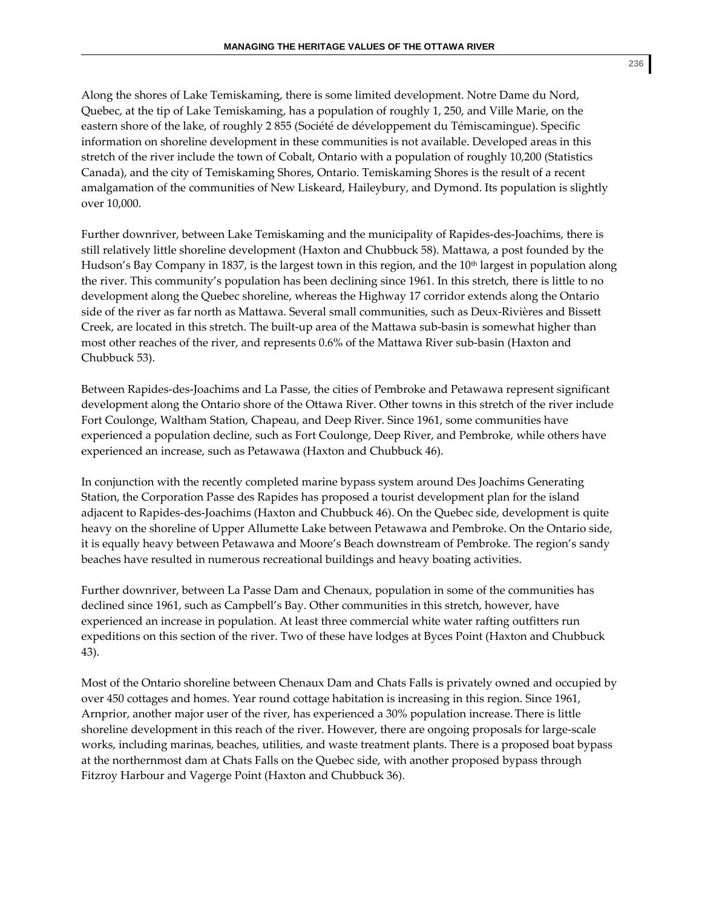Along the shores of Lake Temiskaming, there is some limited development. Notre Dame du Nord, Quebec, at the tip of Lake Temiskaming, has a population of roughly 1, 250, and Ville Marie, on the eastern shore of the lake, of roughly 2 855 (Société de développement du Témiscamingue). Specific information on shoreline development in these communities is not available. Developed areas in this stretch of the river include the town of Cobalt, Ontario with a population of roughly 10,200 (Statistics Canada), and the city of Temiskaming Shores, Ontario. Temiskaming Shores is the result of a recent amalgamation of the communities of New Liskeard, Haileybury, and Dymond. Its population is slightly over 10,000.

Further downriver, between Lake Temiskaming and the municipality of Rapides‐des‐Joachims, there is still relatively little shoreline development (Haxton and Chubbuck 58). Mattawa, a post founded by the Hudson's Bay Company in 1837, is the largest town in this region, and the  $10<sup>th</sup>$  largest in population along the river. This community's population has been declining since 1961. In this stretch, there is little to no development along the Quebec shoreline, whereas the Highway 17 corridor extends along the Ontario side of the river as far north as Mattawa. Several small communities, such as Deux‐Rivières and Bissett Creek, are located in this stretch. The built‐up area of the Mattawa sub‐basin is somewhat higher than most other reaches of the river, and represents 0.6% of the Mattawa River sub‐basin (Haxton and Chubbuck 53).

Between Rapides‐des‐Joachims and La Passe, the cities of Pembroke and Petawawa represent significant development along the Ontario shore of the Ottawa River. Other towns in this stretch of the river include Fort Coulonge, Waltham Station, Chapeau, and Deep River. Since 1961, some communities have experienced a population decline, such as Fort Coulonge, Deep River, and Pembroke, while others have experienced an increase, such as Petawawa (Haxton and Chubbuck 46).

In conjunction with the recently completed marine bypass system around Des Joachims Generating Station, the Corporation Passe des Rapides has proposed a tourist development plan for the island adjacent to Rapides‐des‐Joachims (Haxton and Chubbuck 46). On the Quebec side, development is quite heavy on the shoreline of Upper Allumette Lake between Petawawa and Pembroke. On the Ontario side, it is equally heavy between Petawawa and Moore's Beach downstream of Pembroke. The region's sandy beaches have resulted in numerous recreational buildings and heavy boating activities.

Further downriver, between La Passe Dam and Chenaux, population in some of the communities has declined since 1961, such as Campbell's Bay. Other communities in this stretch, however, have experienced an increase in population. At least three commercial white water rafting outfitters run expeditions on this section of the river. Two of these have lodges at Byces Point (Haxton and Chubbuck 43).

Most of the Ontario shoreline between Chenaux Dam and Chats Falls is privately owned and occupied by over 450 cottages and homes. Year round cottage habitation is increasing in this region. Since 1961, Arnprior, another major user of the river, has experienced a 30% population increase.There is little shoreline development in this reach of the river. However, there are ongoing proposals for large‐scale works, including marinas, beaches, utilities, and waste treatment plants. There is a proposed boat bypass at the northernmost dam at Chats Falls on the Quebec side, with another proposed bypass through Fitzroy Harbour and Vagerge Point (Haxton and Chubbuck 36).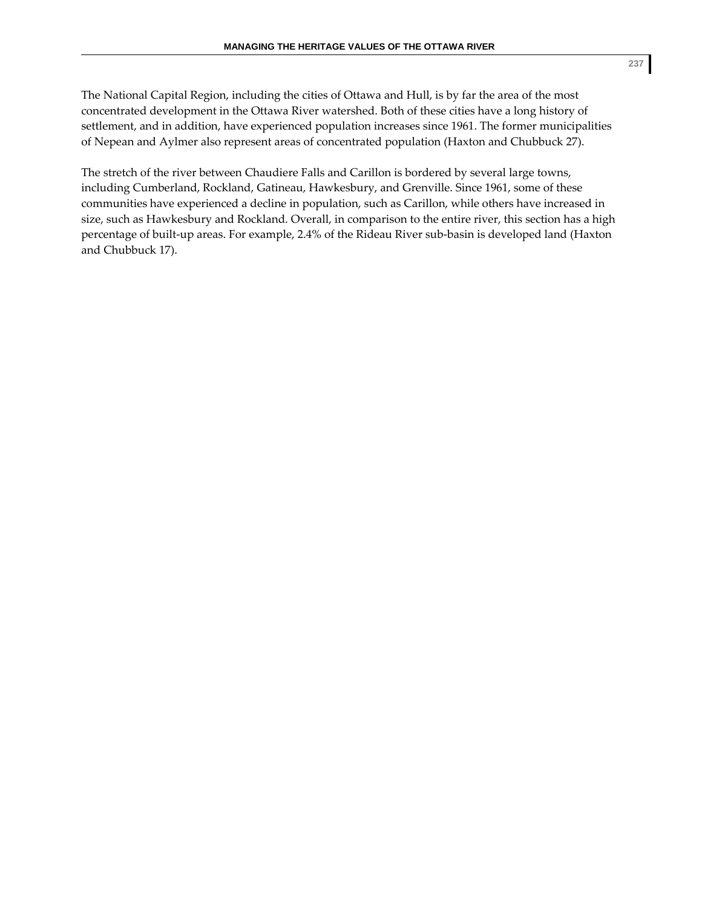The National Capital Region, including the cities of Ottawa and Hull, is by far the area of the most concentrated development in the Ottawa River watershed. Both of these cities have a long history of settlement, and in addition, have experienced population increases since 1961. The former municipalities of Nepean and Aylmer also represent areas of concentrated population (Haxton and Chubbuck 27).

The stretch of the river between Chaudiere Falls and Carillon is bordered by several large towns, including Cumberland, Rockland, Gatineau, Hawkesbury, and Grenville. Since 1961, some of these communities have experienced a decline in population, such as Carillon, while others have increased in size, such as Hawkesbury and Rockland. Overall, in comparison to the entire river, this section has a high percentage of built-up areas. For example, 2.4% of the Rideau River sub-basin is developed land (Haxton and Chubbuck 17).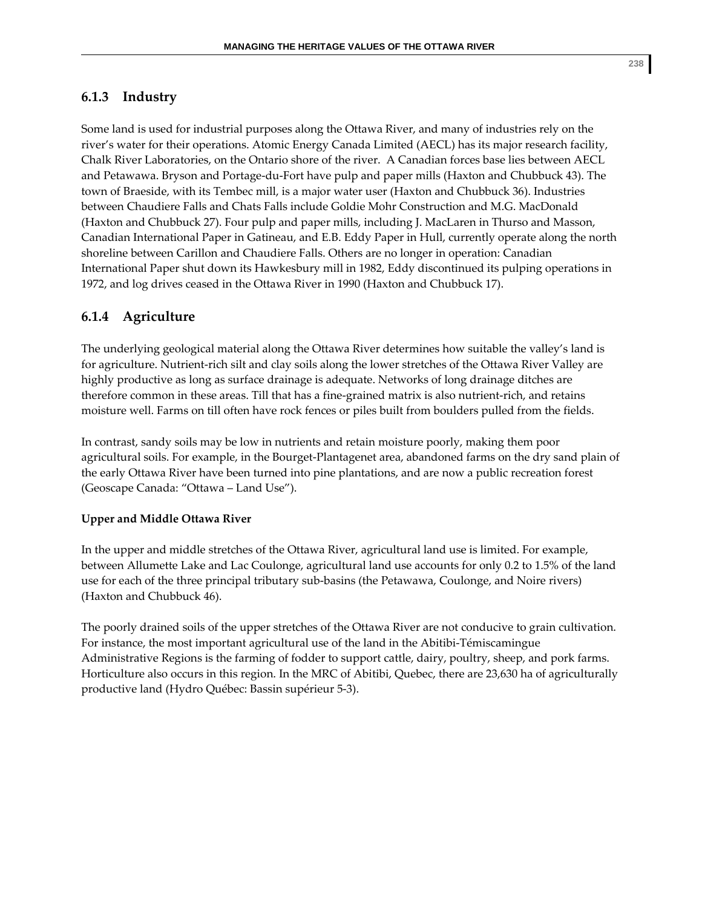# **6.1.3 Industry**

Some land is used for industrial purposes along the Ottawa River, and many of industries rely on the river's water for their operations. Atomic Energy Canada Limited (AECL) has its major research facility, Chalk River Laboratories, on the Ontario shore of the river. A Canadian forces base lies between AECL and Petawawa. Bryson and Portage‐du‐Fort have pulp and paper mills (Haxton and Chubbuck 43). The town of Braeside, with its Tembec mill, is a major water user (Haxton and Chubbuck 36). Industries between Chaudiere Falls and Chats Falls include Goldie Mohr Construction and M.G. MacDonald (Haxton and Chubbuck 27). Four pulp and paper mills, including J. MacLaren in Thurso and Masson, Canadian International Paper in Gatineau, and E.B. Eddy Paper in Hull, currently operate along the north shoreline between Carillon and Chaudiere Falls. Others are no longer in operation: Canadian International Paper shut down its Hawkesbury mill in 1982, Eddy discontinued its pulping operations in 1972, and log drives ceased in the Ottawa River in 1990 (Haxton and Chubbuck 17).

# **6.1.4 Agriculture**

The underlying geological material along the Ottawa River determines how suitable the valley's land is for agriculture. Nutrient‐rich silt and clay soils along the lower stretches of the Ottawa River Valley are highly productive as long as surface drainage is adequate. Networks of long drainage ditches are therefore common in these areas. Till that has a fine‐grained matrix is also nutrient‐rich, and retains moisture well. Farms on till often have rock fences or piles built from boulders pulled from the fields.

In contrast, sandy soils may be low in nutrients and retain moisture poorly, making them poor agricultural soils. For example, in the Bourget‐Plantagenet area, abandoned farms on the dry sand plain of the early Ottawa River have been turned into pine plantations, and are now a public recreation forest (Geoscape Canada: "Ottawa – Land Use").

## **Upper and Middle Ottawa River**

In the upper and middle stretches of the Ottawa River, agricultural land use is limited. For example, between Allumette Lake and Lac Coulonge, agricultural land use accounts for only 0.2 to 1.5% of the land use for each of the three principal tributary sub-basins (the Petawawa, Coulonge, and Noire rivers) (Haxton and Chubbuck 46).

The poorly drained soils of the upper stretches of the Ottawa River are not conducive to grain cultivation. For instance, the most important agricultural use of the land in the Abitibi‐Témiscamingue Administrative Regions is the farming of fodder to support cattle, dairy, poultry, sheep, and pork farms. Horticulture also occurs in this region. In the MRC of Abitibi, Quebec, there are 23,630 ha of agriculturally productive land (Hydro Québec: Bassin supérieur 5‐3).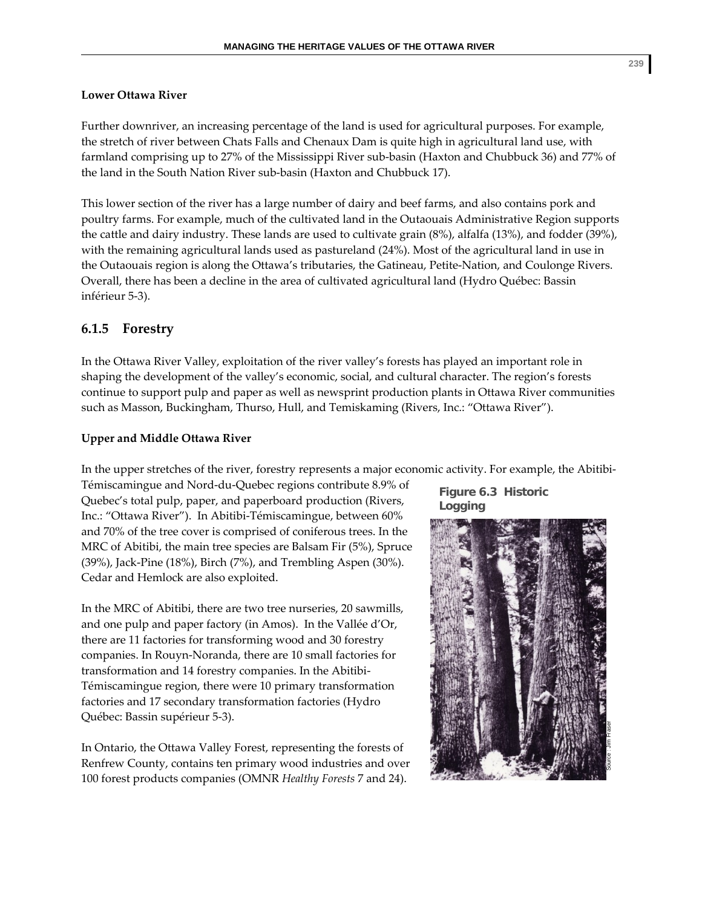#### **Lower Ottawa River**

Further downriver, an increasing percentage of the land is used for agricultural purposes. For example, the stretch of river between Chats Falls and Chenaux Dam is quite high in agricultural land use, with farmland comprising up to 27% of the Mississippi River sub‐basin (Haxton and Chubbuck 36) and 77% of the land in the South Nation River sub‐basin (Haxton and Chubbuck 17).

This lower section of the river has a large number of dairy and beef farms, and also contains pork and poultry farms. For example, much of the cultivated land in the Outaouais Administrative Region supports the cattle and dairy industry. These lands are used to cultivate grain (8%), alfalfa (13%), and fodder (39%), with the remaining agricultural lands used as pastureland (24%). Most of the agricultural land in use in the Outaouais region is along the Ottawa's tributaries, the Gatineau, Petite‐Nation, and Coulonge Rivers. Overall, there has been a decline in the area of cultivated agricultural land (Hydro Québec: Bassin inférieur 5‐3).

## **6.1.5 Forestry**

In the Ottawa River Valley, exploitation of the river valley's forests has played an important role in shaping the development of the valley's economic, social, and cultural character. The region's forests continue to support pulp and paper as well as newsprint production plants in Ottawa River communities such as Masson, Buckingham, Thurso, Hull, and Temiskaming (Rivers, Inc.: "Ottawa River").

#### **Upper and Middle Ottawa River**

In the upper stretches of the river, forestry represents a major economic activity. For example, the Abitibi-

Témiscamingue and Nord‐du‐Quebec regions contribute 8.9% of Quebec's total pulp, paper, and paperboard production (Rivers, Inc.: "Ottawa River"). In Abitibi‐Témiscamingue, between 60% and 70% of the tree cover is comprised of coniferous trees. In the MRC of Abitibi, the main tree species are Balsam Fir (5%), Spruce (39%), Jack‐Pine (18%), Birch (7%), and Trembling Aspen (30%). Cedar and Hemlock are also exploited.

In the MRC of Abitibi, there are two tree nurseries, 20 sawmills, and one pulp and paper factory (in Amos). In the Vallée d'Or, there are 11 factories for transforming wood and 30 forestry companies. In Rouyn‐Noranda, there are 10 small factories for transformation and 14 forestry companies. In the Abitibi‐ Témiscamingue region, there were 10 primary transformation factories and 17 secondary transformation factories (Hydro Québec: Bassin supérieur 5‐3).

In Ontario, the Ottawa Valley Forest, representing the forests of Renfrew County, contains ten primary wood industries and over 100 forest products companies (OMNR *Healthy Forests* 7 and 24).

**Figure 6.3 Historic Logging** 

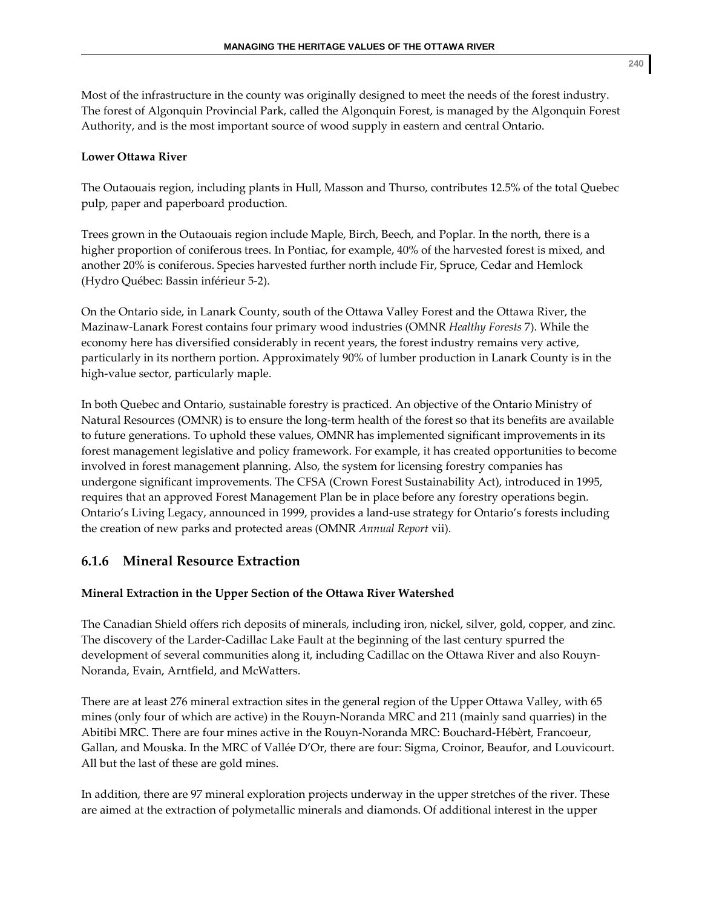Most of the infrastructure in the county was originally designed to meet the needs of the forest industry. The forest of Algonquin Provincial Park, called the Algonquin Forest, is managed by the Algonquin Forest Authority, and is the most important source of wood supply in eastern and central Ontario.

# **Lower Ottawa River**

The Outaouais region, including plants in Hull, Masson and Thurso, contributes 12.5% of the total Quebec pulp, paper and paperboard production.

Trees grown in the Outaouais region include Maple, Birch, Beech, and Poplar. In the north, there is a higher proportion of coniferous trees. In Pontiac, for example, 40% of the harvested forest is mixed, and another 20% is coniferous. Species harvested further north include Fir, Spruce, Cedar and Hemlock (Hydro Québec: Bassin inférieur 5‐2).

On the Ontario side, in Lanark County, south of the Ottawa Valley Forest and the Ottawa River, the Mazinaw‐Lanark Forest contains four primary wood industries (OMNR *Healthy Forests* 7). While the economy here has diversified considerably in recent years, the forest industry remains very active, particularly in its northern portion. Approximately 90% of lumber production in Lanark County is in the high-value sector, particularly maple.

In both Quebec and Ontario, sustainable forestry is practiced. An objective of the Ontario Ministry of Natural Resources (OMNR) is to ensure the long‐term health of the forest so that its benefits are available to future generations. To uphold these values, OMNR has implemented significant improvements in its forest management legislative and policy framework. For example, it has created opportunities to become involved in forest management planning. Also, the system for licensing forestry companies has undergone significant improvements. The CFSA (Crown Forest Sustainability Act), introduced in 1995, requires that an approved Forest Management Plan be in place before any forestry operations begin. Ontario's Living Legacy, announced in 1999, provides a land‐use strategy for Ontario's forests including the creation of new parks and protected areas (OMNR *Annual Report* vii).

# **6.1.6 Mineral Resource Extraction**

# **Mineral Extraction in the Upper Section of the Ottawa River Watershed**

The Canadian Shield offers rich deposits of minerals, including iron, nickel, silver, gold, copper, and zinc. The discovery of the Larder‐Cadillac Lake Fault at the beginning of the last century spurred the development of several communities along it, including Cadillac on the Ottawa River and also Rouyn-Noranda, Evain, Arntfield, and McWatters.

There are at least 276 mineral extraction sites in the general region of the Upper Ottawa Valley, with 65 mines (only four of which are active) in the Rouyn‐Noranda MRC and 211 (mainly sand quarries) in the Abitibi MRC. There are four mines active in the Rouyn‐Noranda MRC: Bouchard‐Hébèrt, Francoeur, Gallan, and Mouska. In the MRC of Vallée D'Or, there are four: Sigma, Croinor, Beaufor, and Louvicourt. All but the last of these are gold mines.

In addition, there are 97 mineral exploration projects underway in the upper stretches of the river. These are aimed at the extraction of polymetallic minerals and diamonds. Of additional interest in the upper